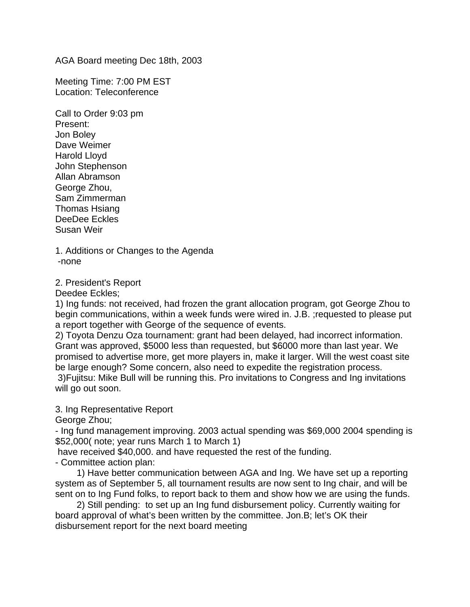AGA Board meeting Dec 18th, 2003

Meeting Time: 7:00 PM EST Location: Teleconference

Call to Order 9:03 pm Present: Jon Boley Dave Weimer Harold Lloyd John Stephenson Allan Abramson George Zhou, Sam Zimmerman Thomas Hsiang DeeDee Eckles Susan Weir

1. Additions or Changes to the Agenda -none

2. President's Report

Deedee Eckles;

1) Ing funds: not received, had frozen the grant allocation program, got George Zhou to begin communications, within a week funds were wired in. J.B. ;requested to please put a report together with George of the sequence of events.

2) Toyota Denzu Oza tournament: grant had been delayed, had incorrect information. Grant was approved, \$5000 less than requested, but \$6000 more than last year. We promised to advertise more, get more players in, make it larger. Will the west coast site be large enough? Some concern, also need to expedite the registration process. 3)Fujitsu: Mike Bull will be running this. Pro invitations to Congress and Ing invitations will go out soon.

3. Ing Representative Report

George Zhou;

- Ing fund management improving. 2003 actual spending was \$69,000 2004 spending is \$52,000( note; year runs March 1 to March 1)

have received \$40,000. and have requested the rest of the funding.

- Committee action plan:

1) Have better communication between AGA and Ing. We have set up a reporting system as of September 5, all tournament results are now sent to Ing chair, and will be sent on to Ing Fund folks, to report back to them and show how we are using the funds.

2) Still pending: to set up an Ing fund disbursement policy. Currently waiting for board approval of what's been written by the committee. Jon.B; let's OK their disbursement report for the next board meeting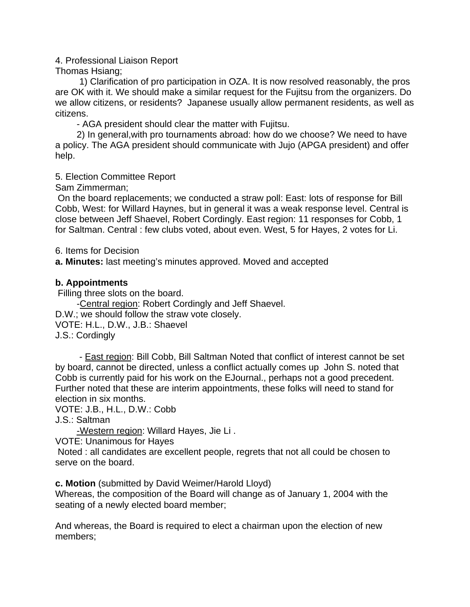# 4. Professional Liaison Report

### Thomas Hsiang;

 1) Clarification of pro participation in OZA. It is now resolved reasonably, the pros are OK with it. We should make a similar request for the Fujitsu from the organizers. Do we allow citizens, or residents? Japanese usually allow permanent residents, as well as citizens.

- AGA president should clear the matter with Fujitsu.

2) In general,with pro tournaments abroad: how do we choose? We need to have a policy. The AGA president should communicate with Jujo (APGA president) and offer help.

# 5. Election Committee Report

Sam Zimmerman;

 On the board replacements; we conducted a straw poll: East: lots of response for Bill Cobb, West: for Willard Haynes, but in general it was a weak response level. Central is close between Jeff Shaevel, Robert Cordingly. East region: 11 responses for Cobb, 1 for Saltman. Central : few clubs voted, about even. West, 5 for Hayes, 2 votes for Li.

6. Items for Decision

**a. Minutes:** last meeting's minutes approved. Moved and accepted

# **b. Appointments**

Filling three slots on the board.

-Central region: Robert Cordingly and Jeff Shaevel. D.W.; we should follow the straw vote closely. VOTE: H.L., D.W., J.B.: Shaevel J.S.: Cordingly

 - East region: Bill Cobb, Bill Saltman Noted that conflict of interest cannot be set by board, cannot be directed, unless a conflict actually comes up John S. noted that Cobb is currently paid for his work on the EJournal., perhaps not a good precedent. Further noted that these are interim appointments, these folks will need to stand for election in six months.

VOTE: J.B., H.L., D.W.: Cobb

J.S.: Saltman

-Western region: Willard Hayes, Jie Li .

VOTE: Unanimous for Hayes

 Noted : all candidates are excellent people, regrets that not all could be chosen to serve on the board.

**c. Motion** (submitted by David Weimer/Harold Lloyd)

Whereas, the composition of the Board will change as of January 1, 2004 with the seating of a newly elected board member;

And whereas, the Board is required to elect a chairman upon the election of new members;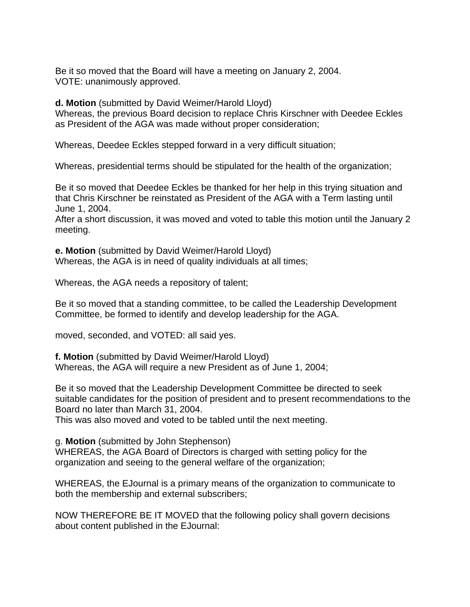Be it so moved that the Board will have a meeting on January 2, 2004. VOTE: unanimously approved.

**d. Motion** (submitted by David Weimer/Harold Lloyd)

Whereas, the previous Board decision to replace Chris Kirschner with Deedee Eckles as President of the AGA was made without proper consideration;

Whereas, Deedee Eckles stepped forward in a very difficult situation;

Whereas, presidential terms should be stipulated for the health of the organization;

Be it so moved that Deedee Eckles be thanked for her help in this trying situation and that Chris Kirschner be reinstated as President of the AGA with a Term lasting until June 1, 2004.

After a short discussion, it was moved and voted to table this motion until the January 2 meeting.

**e. Motion** (submitted by David Weimer/Harold Lloyd) Whereas, the AGA is in need of quality individuals at all times;

Whereas, the AGA needs a repository of talent;

Be it so moved that a standing committee, to be called the Leadership Development Committee, be formed to identify and develop leadership for the AGA.

moved, seconded, and VOTED: all said yes.

**f. Motion** (submitted by David Weimer/Harold Lloyd) Whereas, the AGA will require a new President as of June 1, 2004;

Be it so moved that the Leadership Development Committee be directed to seek suitable candidates for the position of president and to present recommendations to the Board no later than March 31, 2004.

This was also moved and voted to be tabled until the next meeting.

g. **Motion** (submitted by John Stephenson)

WHEREAS, the AGA Board of Directors is charged with setting policy for the organization and seeing to the general welfare of the organization;

WHEREAS, the EJournal is a primary means of the organization to communicate to both the membership and external subscribers;

NOW THEREFORE BE IT MOVED that the following policy shall govern decisions about content published in the EJournal: